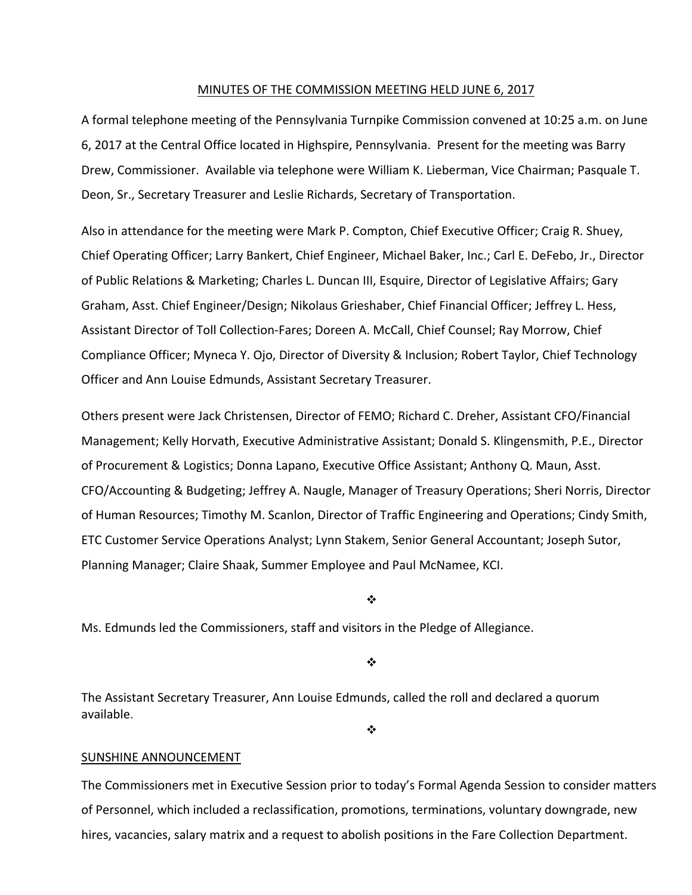#### MINUTES OF THE COMMISSION MEETING HELD JUNE 6, 2017

A formal telephone meeting of the Pennsylvania Turnpike Commission convened at 10:25 a.m. on June 6, 2017 at the Central Office located in Highspire, Pennsylvania. Present for the meeting was Barry Drew, Commissioner. Available via telephone were William K. Lieberman, Vice Chairman; Pasquale T. Deon, Sr., Secretary Treasurer and Leslie Richards, Secretary of Transportation.

Also in attendance for the meeting were Mark P. Compton, Chief Executive Officer; Craig R. Shuey, Chief Operating Officer; Larry Bankert, Chief Engineer, Michael Baker, Inc.; Carl E. DeFebo, Jr., Director of Public Relations & Marketing; Charles L. Duncan III, Esquire, Director of Legislative Affairs; Gary Graham, Asst. Chief Engineer/Design; Nikolaus Grieshaber, Chief Financial Officer; Jeffrey L. Hess, Assistant Director of Toll Collection‐Fares; Doreen A. McCall, Chief Counsel; Ray Morrow, Chief Compliance Officer; Myneca Y. Ojo, Director of Diversity & Inclusion; Robert Taylor, Chief Technology Officer and Ann Louise Edmunds, Assistant Secretary Treasurer.

Others present were Jack Christensen, Director of FEMO; Richard C. Dreher, Assistant CFO/Financial Management; Kelly Horvath, Executive Administrative Assistant; Donald S. Klingensmith, P.E., Director of Procurement & Logistics; Donna Lapano, Executive Office Assistant; Anthony Q. Maun, Asst. CFO/Accounting & Budgeting; Jeffrey A. Naugle, Manager of Treasury Operations; Sheri Norris, Director of Human Resources; Timothy M. Scanlon, Director of Traffic Engineering and Operations; Cindy Smith, ETC Customer Service Operations Analyst; Lynn Stakem, Senior General Accountant; Joseph Sutor, Planning Manager; Claire Shaak, Summer Employee and Paul McNamee, KCI.

❖

Ms. Edmunds led the Commissioners, staff and visitors in the Pledge of Allegiance.

❖

The Assistant Secretary Treasurer, Ann Louise Edmunds, called the roll and declared a quorum available.

 $\frac{1}{2}$ 

#### SUNSHINE ANNOUNCEMENT

The Commissioners met in Executive Session prior to today's Formal Agenda Session to consider matters of Personnel, which included a reclassification, promotions, terminations, voluntary downgrade, new hires, vacancies, salary matrix and a request to abolish positions in the Fare Collection Department.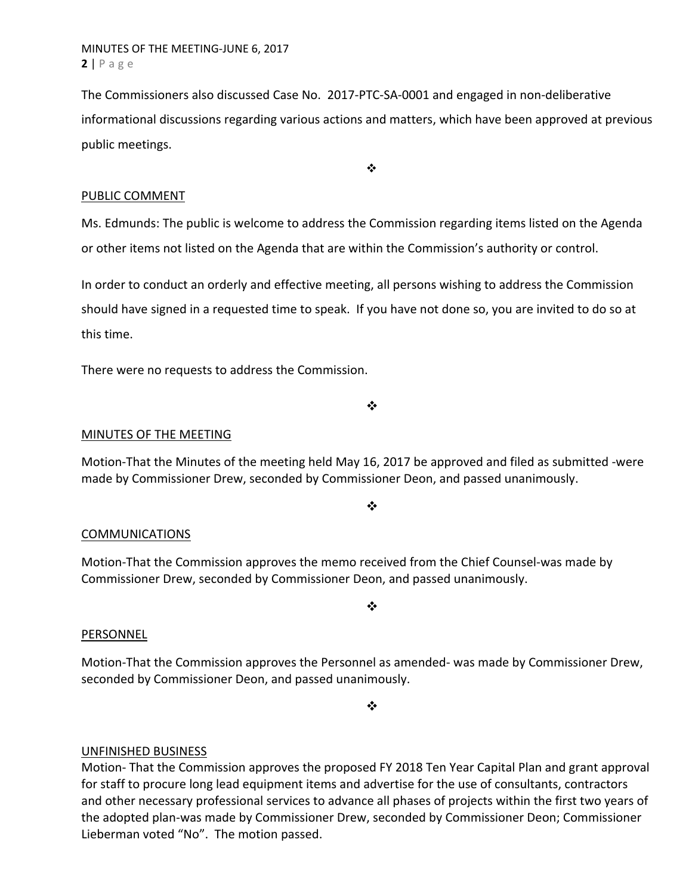The Commissioners also discussed Case No. 2017‐PTC‐SA‐0001 and engaged in non‐deliberative informational discussions regarding various actions and matters, which have been approved at previous public meetings.

 $\bullet$ 

### PUBLIC COMMENT

Ms. Edmunds: The public is welcome to address the Commission regarding items listed on the Agenda or other items not listed on the Agenda that are within the Commission's authority or control.

In order to conduct an orderly and effective meeting, all persons wishing to address the Commission should have signed in a requested time to speak. If you have not done so, you are invited to do so at this time.

There were no requests to address the Commission.

❖

## MINUTES OF THE MEETING

Motion‐That the Minutes of the meeting held May 16, 2017 be approved and filed as submitted ‐were made by Commissioner Drew, seconded by Commissioner Deon, and passed unanimously.

❖

### COMMUNICATIONS

Motion‐That the Commission approves the memo received from the Chief Counsel‐was made by Commissioner Drew, seconded by Commissioner Deon, and passed unanimously.

#### PERSONNEL

Motion‐That the Commission approves the Personnel as amended‐ was made by Commissioner Drew, seconded by Commissioner Deon, and passed unanimously.

 $\cdot$ 

❖

# UNFINISHED BUSINESS

Motion‐ That the Commission approves the proposed FY 2018 Ten Year Capital Plan and grant approval for staff to procure long lead equipment items and advertise for the use of consultants, contractors and other necessary professional services to advance all phases of projects within the first two years of the adopted plan‐was made by Commissioner Drew, seconded by Commissioner Deon; Commissioner Lieberman voted "No". The motion passed.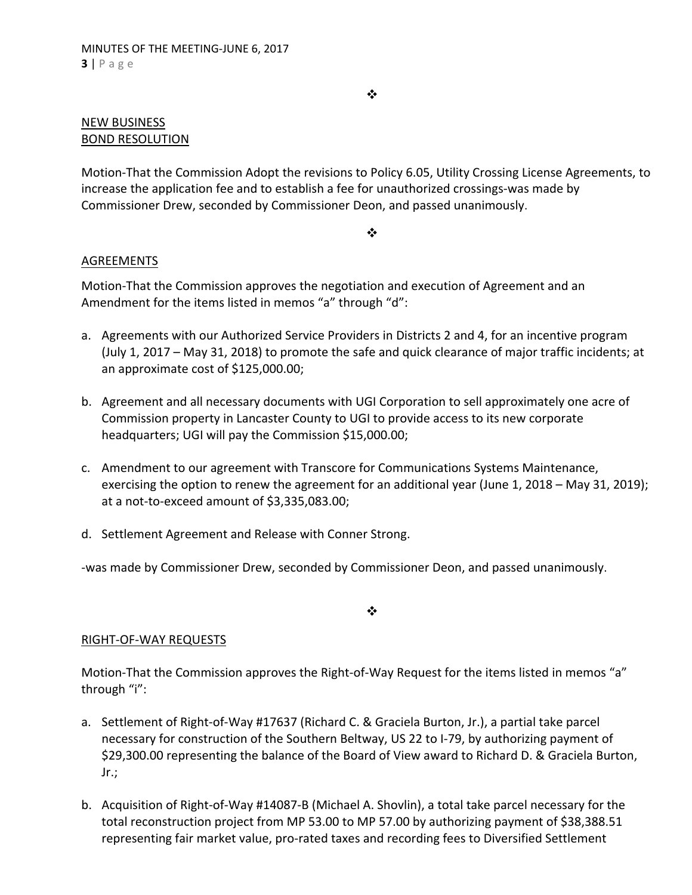$\bullet^{\bullet}_{\bullet} \bullet$ 

### NEW BUSINESS BOND RESOLUTION

Motion‐That the Commission Adopt the revisions to Policy 6.05, Utility Crossing License Agreements, to increase the application fee and to establish a fee for unauthorized crossings‐was made by Commissioner Drew, seconded by Commissioner Deon, and passed unanimously.

#### $\frac{1}{2}$

## AGREEMENTS

Motion‐That the Commission approves the negotiation and execution of Agreement and an Amendment for the items listed in memos "a" through "d":

- a. Agreements with our Authorized Service Providers in Districts 2 and 4, for an incentive program (July 1, 2017 – May 31, 2018) to promote the safe and quick clearance of major traffic incidents; at an approximate cost of \$125,000.00;
- b. Agreement and all necessary documents with UGI Corporation to sell approximately one acre of Commission property in Lancaster County to UGI to provide access to its new corporate headquarters; UGI will pay the Commission \$15,000.00;
- c. Amendment to our agreement with Transcore for Communications Systems Maintenance, exercising the option to renew the agreement for an additional year (June 1, 2018 – May 31, 2019); at a not‐to‐exceed amount of \$3,335,083.00;
- d. Settlement Agreement and Release with Conner Strong.

‐was made by Commissioner Drew, seconded by Commissioner Deon, and passed unanimously.

❖

# RIGHT‐OF‐WAY REQUESTS

Motion-That the Commission approves the Right-of-Way Request for the items listed in memos "a" through "i":

- a. Settlement of Right‐of‐Way #17637 (Richard C. & Graciela Burton, Jr.), a partial take parcel necessary for construction of the Southern Beltway, US 22 to I‐79, by authorizing payment of \$29,300.00 representing the balance of the Board of View award to Richard D. & Graciela Burton, Jr.;
- b. Acquisition of Right‐of‐Way #14087‐B (Michael A. Shovlin), a total take parcel necessary for the total reconstruction project from MP 53.00 to MP 57.00 by authorizing payment of \$38,388.51 representing fair market value, pro‐rated taxes and recording fees to Diversified Settlement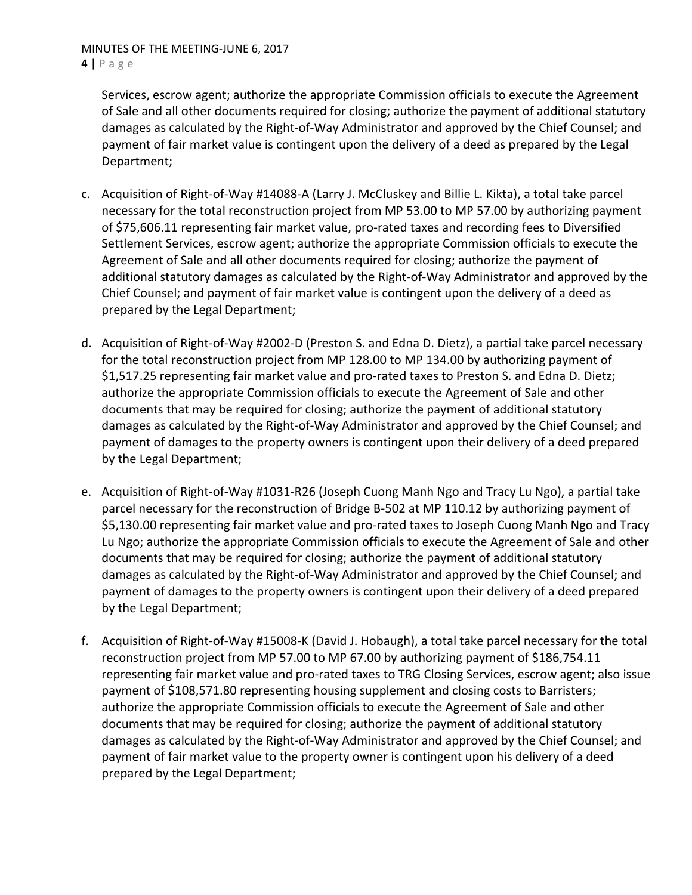MINUTES OF THE MEETING‐JUNE 6, 2017 **4** | Page

Services, escrow agent; authorize the appropriate Commission officials to execute the Agreement of Sale and all other documents required for closing; authorize the payment of additional statutory damages as calculated by the Right‐of‐Way Administrator and approved by the Chief Counsel; and payment of fair market value is contingent upon the delivery of a deed as prepared by the Legal Department;

- c. Acquisition of Right‐of‐Way #14088‐A (Larry J. McCluskey and Billie L. Kikta), a total take parcel necessary for the total reconstruction project from MP 53.00 to MP 57.00 by authorizing payment of \$75,606.11 representing fair market value, pro‐rated taxes and recording fees to Diversified Settlement Services, escrow agent; authorize the appropriate Commission officials to execute the Agreement of Sale and all other documents required for closing; authorize the payment of additional statutory damages as calculated by the Right‐of‐Way Administrator and approved by the Chief Counsel; and payment of fair market value is contingent upon the delivery of a deed as prepared by the Legal Department;
- d. Acquisition of Right‐of‐Way #2002‐D (Preston S. and Edna D. Dietz), a partial take parcel necessary for the total reconstruction project from MP 128.00 to MP 134.00 by authorizing payment of \$1,517.25 representing fair market value and pro-rated taxes to Preston S. and Edna D. Dietz; authorize the appropriate Commission officials to execute the Agreement of Sale and other documents that may be required for closing; authorize the payment of additional statutory damages as calculated by the Right‐of‐Way Administrator and approved by the Chief Counsel; and payment of damages to the property owners is contingent upon their delivery of a deed prepared by the Legal Department;
- e. Acquisition of Right‐of‐Way #1031‐R26 (Joseph Cuong Manh Ngo and Tracy Lu Ngo), a partial take parcel necessary for the reconstruction of Bridge B-502 at MP 110.12 by authorizing payment of \$5,130.00 representing fair market value and pro-rated taxes to Joseph Cuong Manh Ngo and Tracy Lu Ngo; authorize the appropriate Commission officials to execute the Agreement of Sale and other documents that may be required for closing; authorize the payment of additional statutory damages as calculated by the Right‐of‐Way Administrator and approved by the Chief Counsel; and payment of damages to the property owners is contingent upon their delivery of a deed prepared by the Legal Department;
- f. Acquisition of Right‐of‐Way #15008‐K (David J. Hobaugh), a total take parcel necessary for the total reconstruction project from MP 57.00 to MP 67.00 by authorizing payment of \$186,754.11 representing fair market value and pro‐rated taxes to TRG Closing Services, escrow agent; also issue payment of \$108,571.80 representing housing supplement and closing costs to Barristers; authorize the appropriate Commission officials to execute the Agreement of Sale and other documents that may be required for closing; authorize the payment of additional statutory damages as calculated by the Right‐of‐Way Administrator and approved by the Chief Counsel; and payment of fair market value to the property owner is contingent upon his delivery of a deed prepared by the Legal Department;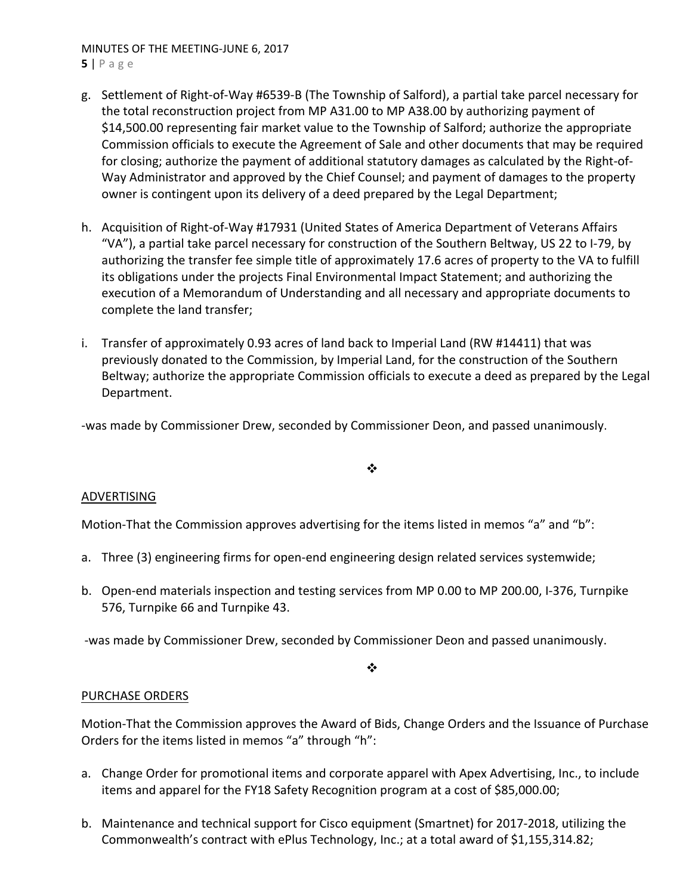#### MINUTES OF THE MEETING‐JUNE 6, 2017 **5** | Page

- g. Settlement of Right‐of‐Way #6539‐B (The Township of Salford), a partial take parcel necessary for the total reconstruction project from MP A31.00 to MP A38.00 by authorizing payment of \$14,500.00 representing fair market value to the Township of Salford; authorize the appropriate Commission officials to execute the Agreement of Sale and other documents that may be required for closing; authorize the payment of additional statutory damages as calculated by the Right‐of‐ Way Administrator and approved by the Chief Counsel; and payment of damages to the property owner is contingent upon its delivery of a deed prepared by the Legal Department;
- h. Acquisition of Right‐of‐Way #17931 (United States of America Department of Veterans Affairs "VA"), a partial take parcel necessary for construction of the Southern Beltway, US 22 to I‐79, by authorizing the transfer fee simple title of approximately 17.6 acres of property to the VA to fulfill its obligations under the projects Final Environmental Impact Statement; and authorizing the execution of a Memorandum of Understanding and all necessary and appropriate documents to complete the land transfer;
- i. Transfer of approximately 0.93 acres of land back to Imperial Land (RW #14411) that was previously donated to the Commission, by Imperial Land, for the construction of the Southern Beltway; authorize the appropriate Commission officials to execute a deed as prepared by the Legal Department.

‐was made by Commissioner Drew, seconded by Commissioner Deon, and passed unanimously.

 $\frac{1}{2}$ 

### ADVERTISING

Motion-That the Commission approves advertising for the items listed in memos "a" and "b":

- a. Three (3) engineering firms for open-end engineering design related services systemwide;
- b. Open‐end materials inspection and testing services from MP 0.00 to MP 200.00, I‐376, Turnpike 576, Turnpike 66 and Turnpike 43.

‐was made by Commissioner Drew, seconded by Commissioner Deon and passed unanimously.

❖

### PURCHASE ORDERS

Motion‐That the Commission approves the Award of Bids, Change Orders and the Issuance of Purchase Orders for the items listed in memos "a" through "h":

- a. Change Order for promotional items and corporate apparel with Apex Advertising, Inc., to include items and apparel for the FY18 Safety Recognition program at a cost of \$85,000.00;
- b. Maintenance and technical support for Cisco equipment (Smartnet) for 2017‐2018, utilizing the Commonwealth's contract with ePlus Technology, Inc.; at a total award of \$1,155,314.82;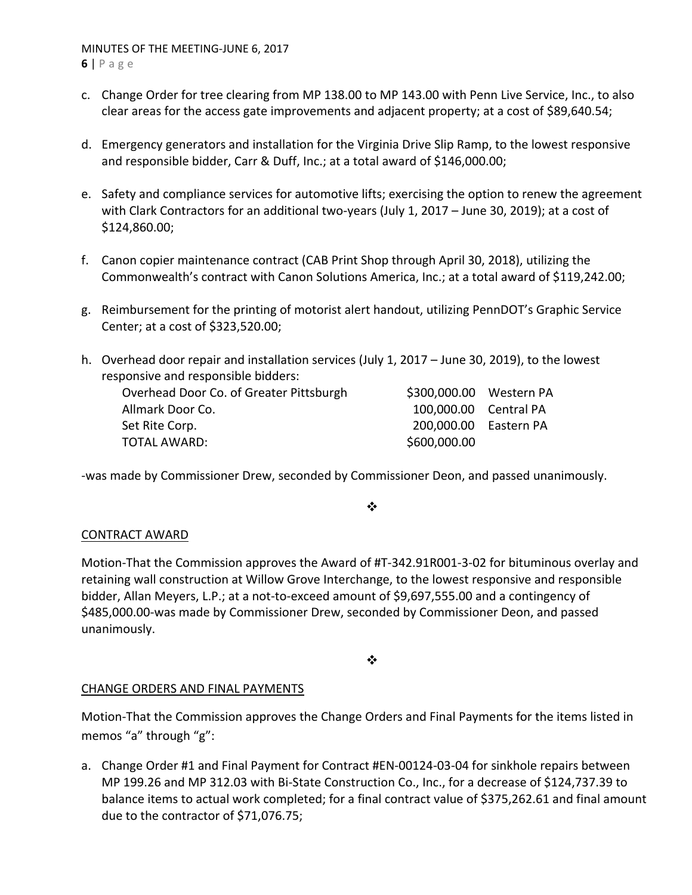- c. Change Order for tree clearing from MP 138.00 to MP 143.00 with Penn Live Service, Inc., to also clear areas for the access gate improvements and adjacent property; at a cost of \$89,640.54;
- d. Emergency generators and installation for the Virginia Drive Slip Ramp, to the lowest responsive and responsible bidder, Carr & Duff, Inc.; at a total award of \$146,000.00;
- e. Safety and compliance services for automotive lifts; exercising the option to renew the agreement with Clark Contractors for an additional two-years (July 1, 2017 – June 30, 2019); at a cost of \$124,860.00;
- f. Canon copier maintenance contract (CAB Print Shop through April 30, 2018), utilizing the Commonwealth's contract with Canon Solutions America, Inc.; at a total award of \$119,242.00;
- g. Reimbursement for the printing of motorist alert handout, utilizing PennDOT's Graphic Service Center; at a cost of \$323,520.00;
- h. Overhead door repair and installation services (July 1, 2017 June 30, 2019), to the lowest responsive and responsible bidders:

| Overhead Door Co. of Greater Pittsburgh |
|-----------------------------------------|
| Allmark Door Co.                        |
| Set Rite Corp.                          |
| <b>TOTAL AWARD:</b>                     |

‐was made by Commissioner Drew, seconded by Commissioner Deon, and passed unanimously.

### ❖

\$300,000.00 Western PA 100,000.00 Central PA 200,000.00 Eastern PA

\$600,000.00

# CONTRACT AWARD

Motion‐That the Commission approves the Award of #T‐342.91R001‐3‐02 for bituminous overlay and retaining wall construction at Willow Grove Interchange, to the lowest responsive and responsible bidder, Allan Meyers, L.P.; at a not‐to‐exceed amount of \$9,697,555.00 and a contingency of \$485,000.00‐was made by Commissioner Drew, seconded by Commissioner Deon, and passed unanimously.

### $\frac{1}{2}$

# CHANGE ORDERS AND FINAL PAYMENTS

Motion‐That the Commission approves the Change Orders and Final Payments for the items listed in memos "a" through "g":

a. Change Order #1 and Final Payment for Contract #EN‐00124‐03‐04 for sinkhole repairs between MP 199.26 and MP 312.03 with Bi‐State Construction Co., Inc., for a decrease of \$124,737.39 to balance items to actual work completed; for a final contract value of \$375,262.61 and final amount due to the contractor of \$71,076.75;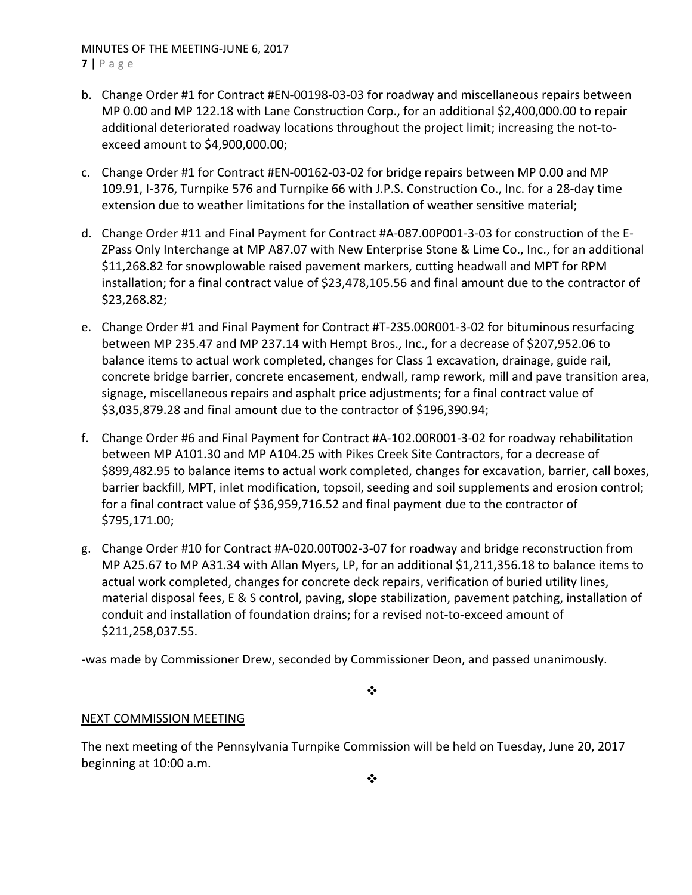#### MINUTES OF THE MEETING‐JUNE 6, 2017 **7** | Page

- b. Change Order #1 for Contract #EN‐00198‐03‐03 for roadway and miscellaneous repairs between MP 0.00 and MP 122.18 with Lane Construction Corp., for an additional \$2,400,000.00 to repair additional deteriorated roadway locations throughout the project limit; increasing the not‐to‐ exceed amount to \$4,900,000.00;
- c. Change Order #1 for Contract #EN‐00162‐03‐02 for bridge repairs between MP 0.00 and MP 109.91, I‐376, Turnpike 576 and Turnpike 66 with J.P.S. Construction Co., Inc. for a 28‐day time extension due to weather limitations for the installation of weather sensitive material;
- d. Change Order #11 and Final Payment for Contract #A‐087.00P001‐3‐03 for construction of the E‐ ZPass Only Interchange at MP A87.07 with New Enterprise Stone & Lime Co., Inc., for an additional \$11,268.82 for snowplowable raised pavement markers, cutting headwall and MPT for RPM installation; for a final contract value of \$23,478,105.56 and final amount due to the contractor of \$23,268.82;
- e. Change Order #1 and Final Payment for Contract #T‐235.00R001‐3‐02 for bituminous resurfacing between MP 235.47 and MP 237.14 with Hempt Bros., Inc., for a decrease of \$207,952.06 to balance items to actual work completed, changes for Class 1 excavation, drainage, guide rail, concrete bridge barrier, concrete encasement, endwall, ramp rework, mill and pave transition area, signage, miscellaneous repairs and asphalt price adjustments; for a final contract value of \$3,035,879.28 and final amount due to the contractor of \$196,390.94;
- f. Change Order #6 and Final Payment for Contract #A‐102.00R001‐3‐02 for roadway rehabilitation between MP A101.30 and MP A104.25 with Pikes Creek Site Contractors, for a decrease of \$899,482.95 to balance items to actual work completed, changes for excavation, barrier, call boxes, barrier backfill, MPT, inlet modification, topsoil, seeding and soil supplements and erosion control; for a final contract value of \$36,959,716.52 and final payment due to the contractor of \$795,171.00;
- g. Change Order #10 for Contract #A‐020.00T002‐3‐07 for roadway and bridge reconstruction from MP A25.67 to MP A31.34 with Allan Myers, LP, for an additional \$1,211,356.18 to balance items to actual work completed, changes for concrete deck repairs, verification of buried utility lines, material disposal fees, E & S control, paving, slope stabilization, pavement patching, installation of conduit and installation of foundation drains; for a revised not‐to‐exceed amount of \$211,258,037.55.

‐was made by Commissioner Drew, seconded by Commissioner Deon, and passed unanimously.

❖

# NEXT COMMISSION MEETING

The next meeting of the Pennsylvania Turnpike Commission will be held on Tuesday, June 20, 2017 beginning at 10:00 a.m.